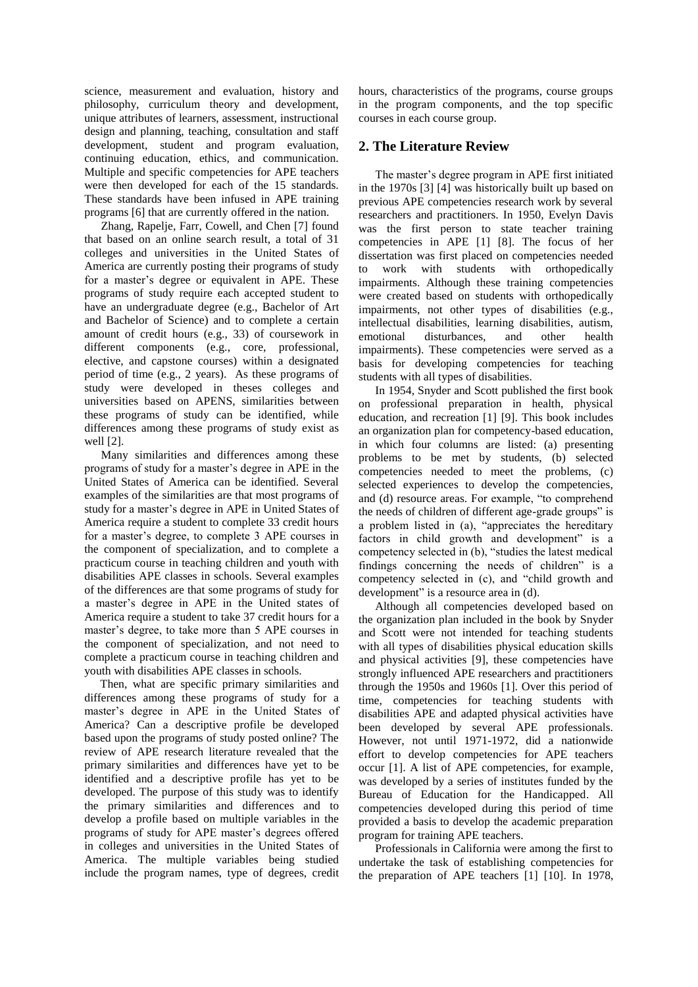science, measurement and evaluation, history and philosophy, curriculum theory and development, unique attributes of learners, assessment, instructional design and planning, teaching, consultation and staff development, student and program evaluation, continuing education, ethics, and communication. Multiple and specific competencies for APE teachers were then developed for each of the 15 standards. These standards have been infused in APE training programs [6] that are currently offered in the nation.

Zhang, Rapelje, Farr, Cowell, and Chen [7] found that based on an online search result, a total of 31 colleges and universities in the United States of America are currently posting their programs of study for a master's degree or equivalent in APE. These programs of study require each accepted student to have an undergraduate degree (e.g., Bachelor of Art and Bachelor of Science) and to complete a certain amount of credit hours (e.g., 33) of coursework in different components (e.g., core, professional, elective, and capstone courses) within a designated period of time (e.g., 2 years). As these programs of study were developed in theses colleges and universities based on APENS, similarities between these programs of study can be identified, while differences among these programs of study exist as well [2].

Many similarities and differences among these programs of study for a master's degree in APE in the United States of America can be identified. Several examples of the similarities are that most programs of study for a master's degree in APE in United States of America require a student to complete 33 credit hours for a master's degree, to complete 3 APE courses in the component of specialization, and to complete a practicum course in teaching children and youth with disabilities APE classes in schools. Several examples of the differences are that some programs of study for a master's degree in APE in the United states of America require a student to take 37 credit hours for a master's degree, to take more than 5 APE courses in the component of specialization, and not need to complete a practicum course in teaching children and youth with disabilities APE classes in schools.

Then, what are specific primary similarities and differences among these programs of study for a master's degree in APE in the United States of America? Can a descriptive profile be developed based upon the programs of study posted online? The review of APE research literature revealed that the primary similarities and differences have yet to be identified and a descriptive profile has yet to be developed. The purpose of this study was to identify the primary similarities and differences and to develop a profile based on multiple variables in the programs of study for APE master's degrees offered in colleges and universities in the United States of America. The multiple variables being studied include the program names, type of degrees, credit hours, characteristics of the programs, course groups in the program components, and the top specific courses in each course group.

# **2. The Literature Review**

The master's degree program in APE first initiated in the 1970s [3] [4] was historically built up based on previous APE competencies research work by several researchers and practitioners. In 1950, Evelyn Davis was the first person to state teacher training competencies in APE [1] [8]. The focus of her dissertation was first placed on competencies needed to work with students with orthopedically impairments. Although these training competencies were created based on students with orthopedically impairments, not other types of disabilities (e.g., intellectual disabilities, learning disabilities, autism, emotional disturbances, and other health impairments). These competencies were served as a basis for developing competencies for teaching students with all types of disabilities.

In 1954, Snyder and Scott published the first book on professional preparation in health, physical education, and recreation [1] [9]. This book includes an organization plan for competency-based education, in which four columns are listed: (a) presenting problems to be met by students, (b) selected competencies needed to meet the problems, (c) selected experiences to develop the competencies, and (d) resource areas. For example, "to comprehend the needs of children of different age-grade groups" is a problem listed in (a), "appreciates the hereditary factors in child growth and development" is a competency selected in (b), "studies the latest medical findings concerning the needs of children" is a competency selected in (c), and "child growth and development" is a resource area in (d).

Although all competencies developed based on the organization plan included in the book by Snyder and Scott were not intended for teaching students with all types of disabilities physical education skills and physical activities [9], these competencies have strongly influenced APE researchers and practitioners through the 1950s and 1960s [1]. Over this period of time, competencies for teaching students with disabilities APE and adapted physical activities have been developed by several APE professionals. However, not until 1971-1972, did a nationwide effort to develop competencies for APE teachers occur [1]. A list of APE competencies, for example, was developed by a series of institutes funded by the Bureau of Education for the Handicapped. All competencies developed during this period of time provided a basis to develop the academic preparation program for training APE teachers.

Professionals in California were among the first to undertake the task of establishing competencies for the preparation of APE teachers [1] [10]. In 1978,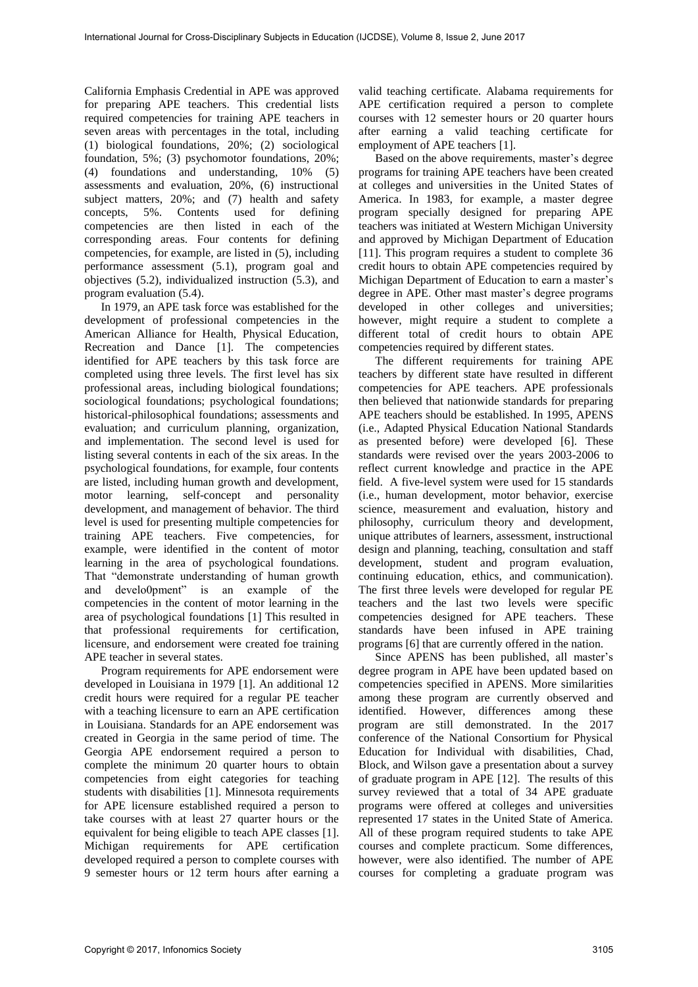California Emphasis Credential in APE was approved for preparing APE teachers. This credential lists required competencies for training APE teachers in seven areas with percentages in the total, including (1) biological foundations, 20%; (2) sociological foundation, 5%; (3) psychomotor foundations, 20%; (4) foundations and understanding, 10% (5) assessments and evaluation, 20%, (6) instructional subject matters, 20%; and (7) health and safety concepts, 5%. Contents used for defining competencies are then listed in each of the corresponding areas. Four contents for defining competencies, for example, are listed in (5), including performance assessment (5.1), program goal and objectives (5.2), individualized instruction (5.3), and program evaluation (5.4).

In 1979, an APE task force was established for the development of professional competencies in the American Alliance for Health, Physical Education, Recreation and Dance [1]. The competencies identified for APE teachers by this task force are completed using three levels. The first level has six professional areas, including biological foundations; sociological foundations; psychological foundations; historical-philosophical foundations; assessments and evaluation; and curriculum planning, organization, and implementation. The second level is used for listing several contents in each of the six areas. In the psychological foundations, for example, four contents are listed, including human growth and development, motor learning, self-concept and personality development, and management of behavior. The third level is used for presenting multiple competencies for training APE teachers. Five competencies, for example, were identified in the content of motor learning in the area of psychological foundations. That "demonstrate understanding of human growth and develo0pment" is an example of the competencies in the content of motor learning in the area of psychological foundations [1] This resulted in that professional requirements for certification, licensure, and endorsement were created foe training APE teacher in several states.

Program requirements for APE endorsement were developed in Louisiana in 1979 [1]. An additional 12 credit hours were required for a regular PE teacher with a teaching licensure to earn an APE certification in Louisiana. Standards for an APE endorsement was created in Georgia in the same period of time. The Georgia APE endorsement required a person to complete the minimum 20 quarter hours to obtain competencies from eight categories for teaching students with disabilities [1]. Minnesota requirements for APE licensure established required a person to take courses with at least 27 quarter hours or the equivalent for being eligible to teach APE classes [1]. Michigan requirements for APE certification developed required a person to complete courses with 9 semester hours or 12 term hours after earning a

valid teaching certificate. Alabama requirements for APE certification required a person to complete courses with 12 semester hours or 20 quarter hours after earning a valid teaching certificate for employment of APE teachers [1].

Based on the above requirements, master's degree programs for training APE teachers have been created at colleges and universities in the United States of America. In 1983, for example, a master degree program specially designed for preparing APE teachers was initiated at Western Michigan University and approved by Michigan Department of Education [11]. This program requires a student to complete 36 credit hours to obtain APE competencies required by Michigan Department of Education to earn a master's degree in APE. Other mast master's degree programs developed in other colleges and universities; however, might require a student to complete a different total of credit hours to obtain APE competencies required by different states.

The different requirements for training APE teachers by different state have resulted in different competencies for APE teachers. APE professionals then believed that nationwide standards for preparing APE teachers should be established. In 1995, APENS (i.e., Adapted Physical Education National Standards as presented before) were developed [6]. These standards were revised over the years 2003-2006 to reflect current knowledge and practice in the APE field. A five-level system were used for 15 standards (i.e., human development, motor behavior, exercise science, measurement and evaluation, history and philosophy, curriculum theory and development, unique attributes of learners, assessment, instructional design and planning, teaching, consultation and staff development, student and program evaluation, continuing education, ethics, and communication). The first three levels were developed for regular PE teachers and the last two levels were specific competencies designed for APE teachers. These standards have been infused in APE training programs [6] that are currently offered in the nation.

Since APENS has been published, all master's degree program in APE have been updated based on competencies specified in APENS. More similarities among these program are currently observed and identified. However, differences among these program are still demonstrated. In the 2017 conference of the National Consortium for Physical Education for Individual with disabilities, Chad, Block, and Wilson gave a presentation about a survey of graduate program in APE [12]. The results of this survey reviewed that a total of 34 APE graduate programs were offered at colleges and universities represented 17 states in the United State of America. All of these program required students to take APE courses and complete practicum. Some differences, however, were also identified. The number of APE courses for completing a graduate program was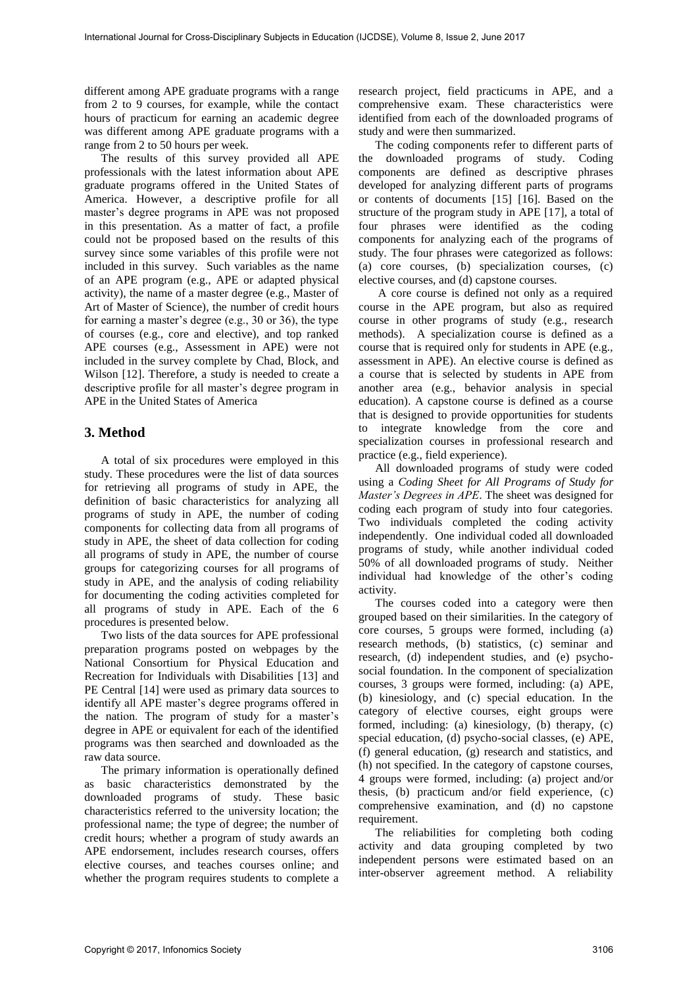different among APE graduate programs with a range from 2 to 9 courses, for example, while the contact hours of practicum for earning an academic degree was different among APE graduate programs with a range from 2 to 50 hours per week.

The results of this survey provided all APE professionals with the latest information about APE graduate programs offered in the United States of America. However, a descriptive profile for all master's degree programs in APE was not proposed in this presentation. As a matter of fact, a profile could not be proposed based on the results of this survey since some variables of this profile were not included in this survey. Such variables as the name of an APE program (e.g., APE or adapted physical activity), the name of a master degree (e.g., Master of Art of Master of Science), the number of credit hours for earning a master's degree (e.g., 30 or 36), the type of courses (e.g., core and elective), and top ranked APE courses (e.g., Assessment in APE) were not included in the survey complete by Chad, Block, and Wilson [12]. Therefore, a study is needed to create a descriptive profile for all master's degree program in APE in the United States of America

# **3. Method**

A total of six procedures were employed in this study. These procedures were the list of data sources for retrieving all programs of study in APE, the definition of basic characteristics for analyzing all programs of study in APE, the number of coding components for collecting data from all programs of study in APE, the sheet of data collection for coding all programs of study in APE, the number of course groups for categorizing courses for all programs of study in APE, and the analysis of coding reliability for documenting the coding activities completed for all programs of study in APE. Each of the 6 procedures is presented below.

Two lists of the data sources for APE professional preparation programs posted on webpages by the National Consortium for Physical Education and Recreation for Individuals with Disabilities [13] and PE Central [14] were used as primary data sources to identify all APE master's degree programs offered in the nation. The program of study for a master's degree in APE or equivalent for each of the identified programs was then searched and downloaded as the raw data source.

The primary information is operationally defined as basic characteristics demonstrated by the downloaded programs of study. These basic characteristics referred to the university location; the professional name; the type of degree; the number of credit hours; whether a program of study awards an APE endorsement, includes research courses, offers elective courses, and teaches courses online; and whether the program requires students to complete a research project, field practicums in APE, and a comprehensive exam. These characteristics were identified from each of the downloaded programs of study and were then summarized.

The coding components refer to different parts of the downloaded programs of study. Coding components are defined as descriptive phrases developed for analyzing different parts of programs or contents of documents [15] [16]. Based on the structure of the program study in APE [17], a total of four phrases were identified as the coding components for analyzing each of the programs of study. The four phrases were categorized as follows: (a) core courses, (b) specialization courses, (c) elective courses, and (d) capstone courses.

 A core course is defined not only as a required course in the APE program, but also as required course in other programs of study (e.g., research methods). A specialization course is defined as a course that is required only for students in APE (e.g., assessment in APE). An elective course is defined as a course that is selected by students in APE from another area (e.g., behavior analysis in special education). A capstone course is defined as a course that is designed to provide opportunities for students to integrate knowledge from the core and specialization courses in professional research and practice (e.g., field experience).

All downloaded programs of study were coded using a *Coding Sheet for All Programs of Study for Master's Degrees in APE*. The sheet was designed for coding each program of study into four categories. Two individuals completed the coding activity independently. One individual coded all downloaded programs of study, while another individual coded 50% of all downloaded programs of study. Neither individual had knowledge of the other's coding activity.

The courses coded into a category were then grouped based on their similarities. In the category of core courses, 5 groups were formed, including (a) research methods, (b) statistics, (c) seminar and research, (d) independent studies, and (e) psychosocial foundation. In the component of specialization courses, 3 groups were formed, including: (a) APE, (b) kinesiology, and (c) special education. In the category of elective courses, eight groups were formed, including: (a) kinesiology, (b) therapy, (c) special education, (d) psycho-social classes, (e) APE, (f) general education, (g) research and statistics, and (h) not specified. In the category of capstone courses, 4 groups were formed, including: (a) project and/or thesis, (b) practicum and/or field experience, (c) comprehensive examination, and (d) no capstone requirement.

The reliabilities for completing both coding activity and data grouping completed by two independent persons were estimated based on an inter-observer agreement method. A reliability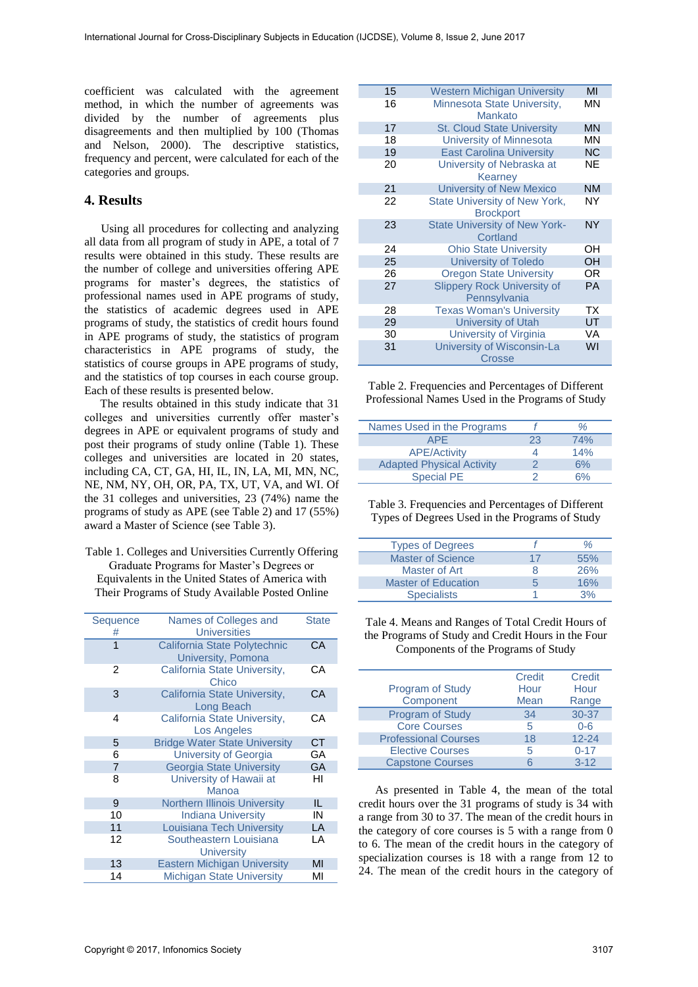coefficient was calculated with the agreement method, in which the number of agreements was divided by the number of agreements plus disagreements and then multiplied by 100 (Thomas and Nelson, 2000). The descriptive statistics, frequency and percent, were calculated for each of the categories and groups.

### **4. Results**

Using all procedures for collecting and analyzing all data from all program of study in APE, a total of 7 results were obtained in this study. These results are the number of college and universities offering APE programs for master's degrees, the statistics of professional names used in APE programs of study, the statistics of academic degrees used in APE programs of study, the statistics of credit hours found in APE programs of study, the statistics of program characteristics in APE programs of study, the statistics of course groups in APE programs of study, and the statistics of top courses in each course group. Each of these results is presented below.

The results obtained in this study indicate that 31 colleges and universities currently offer master's degrees in APE or equivalent programs of study and post their programs of study online (Table 1). These colleges and universities are located in 20 states, including CA, CT, GA, HI, IL, IN, LA, MI, MN, NC, NE, NM, NY, OH, OR, PA, TX, UT, VA, and WI. Of the 31 colleges and universities, 23 (74%) name the programs of study as APE (see Table 2) and 17 (55%) award a Master of Science (see Table 3).

Table 1. Colleges and Universities Currently Offering Graduate Programs for Master's Degrees or Equivalents in the United States of America with Their Programs of Study Available Posted Online

| Sequence<br>#  | Names of Colleges and<br><b>Universities</b>       | <b>State</b> |
|----------------|----------------------------------------------------|--------------|
| 1              | California State Polytechnic<br>University, Pomona | CA           |
| 2              | California State University,<br>Chico              | СA           |
| 3              | California State University,<br>Long Beach         | CA           |
| 4              | California State University,<br><b>Los Angeles</b> | CА           |
| 5              | <b>Bridge Water State University</b>               | СT           |
| 6              | University of Georgia                              | GА           |
| $\overline{7}$ | <b>Georgia State University</b>                    | <b>GA</b>    |
| 8              | University of Hawaii at<br>Manoa                   | HI           |
| 9              | <b>Northern Illinois University</b>                | IL           |
| 10             | <b>Indiana University</b>                          | IN           |
| 11             | Louisiana Tech University                          | LA           |
| 12             | Southeastern Louisiana<br><b>University</b>        | LA           |
| 13             | <b>Eastern Michigan University</b>                 | MI           |
| 14             | <b>Michigan State University</b>                   | МΙ           |

| 15 | <b>Western Michigan University</b>                 | MI        |
|----|----------------------------------------------------|-----------|
| 16 | Minnesota State University,<br>Mankato             | <b>MN</b> |
| 17 | <b>St. Cloud State University</b>                  | <b>MN</b> |
| 18 | <b>University of Minnesota</b>                     | MΝ        |
| 19 | <b>East Carolina University</b>                    | <b>NC</b> |
| 20 | University of Nebraska at<br>Kearney               | <b>NE</b> |
| 21 | <b>University of New Mexico</b>                    | <b>NM</b> |
| 22 | State University of New York,<br><b>Brockport</b>  | NY        |
| 23 | <b>State University of New York-</b><br>Cortland   | <b>NY</b> |
| 24 | <b>Ohio State University</b>                       | OН        |
| 25 | <b>University of Toledo</b>                        | OH        |
| 26 | <b>Oregon State University</b>                     | OR        |
| 27 | <b>Slippery Rock University of</b><br>Pennsylvania | <b>PA</b> |
| 28 | <b>Texas Woman's University</b>                    | ТX        |
| 29 | <b>University of Utah</b>                          | UT        |
| 30 | University of Virginia                             | VA        |
| 31 | University of Wisconsin-La<br>Crosse               | WI        |

Table 2. Frequencies and Percentages of Different Professional Names Used in the Programs of Study

| Names Used in the Programs       |    | ℅          |
|----------------------------------|----|------------|
| <b>APE</b>                       | 23 | <b>74%</b> |
| <b>APE/Activity</b>              |    | 14%        |
| <b>Adapted Physical Activity</b> | 2  | 6%         |
| <b>Special PE</b>                |    | 6%         |

Table 3. Frequencies and Percentages of Different Types of Degrees Used in the Programs of Study

| <b>Types of Degrees</b>    |    | ℅   |
|----------------------------|----|-----|
| <b>Master of Science</b>   | 17 | 55% |
| Master of Art              | x  | 26% |
| <b>Master of Education</b> | ҕ  | 16% |
| <b>Specialists</b>         |    | 3%  |

Tale 4. Means and Ranges of Total Credit Hours of the Programs of Study and Credit Hours in the Four Components of the Programs of Study

|                             | Credit | Credit    |
|-----------------------------|--------|-----------|
| Program of Study            | Hour   | Hour      |
| Component                   | Mean   | Range     |
| <b>Program of Study</b>     | 34     | 30-37     |
| <b>Core Courses</b>         | 5      | $0 - 6$   |
| <b>Professional Courses</b> | 18     | $12 - 24$ |
| <b>Elective Courses</b>     | 5      | $0 - 17$  |
| <b>Capstone Courses</b>     | 6      | $3 - 12$  |

As presented in Table 4, the mean of the total credit hours over the 31 programs of study is 34 with a range from 30 to 37. The mean of the credit hours in the category of core courses is 5 with a range from 0 to 6. The mean of the credit hours in the category of specialization courses is 18 with a range from 12 to 24. The mean of the credit hours in the category of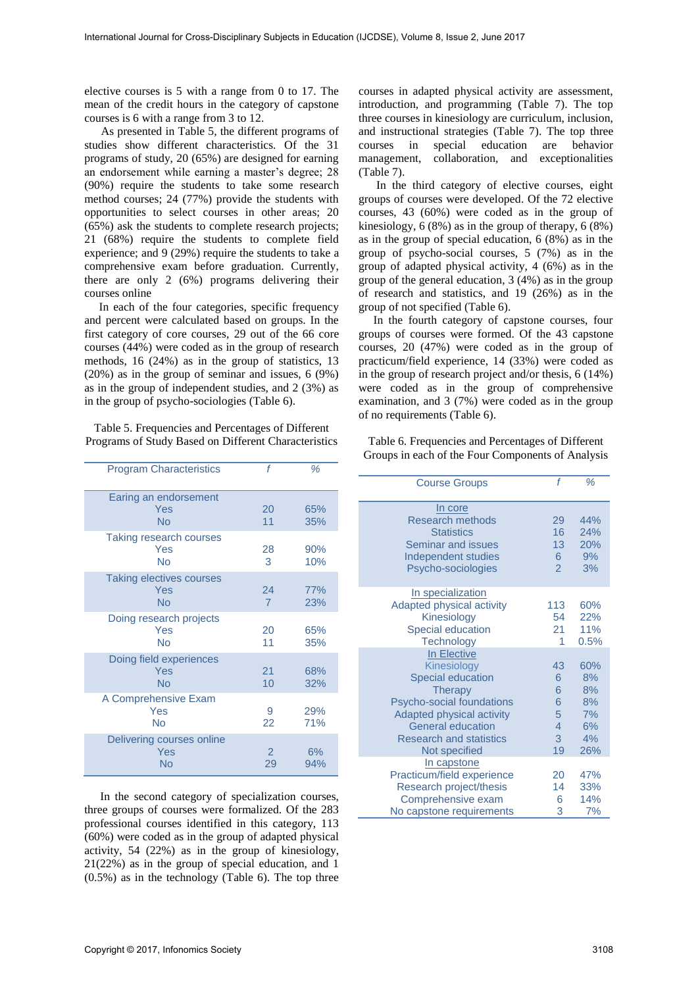elective courses is 5 with a range from 0 to 17. The mean of the credit hours in the category of capstone courses is 6 with a range from 3 to 12.

As presented in Table 5, the different programs of studies show different characteristics. Of the 31 programs of study, 20 (65%) are designed for earning an endorsement while earning a master's degree; 28 (90%) require the students to take some research method courses; 24 (77%) provide the students with opportunities to select courses in other areas; 20 (65%) ask the students to complete research projects; 21 (68%) require the students to complete field experience; and 9 (29%) require the students to take a comprehensive exam before graduation. Currently, there are only 2 (6%) programs delivering their courses online

 In each of the four categories, specific frequency and percent were calculated based on groups. In the first category of core courses, 29 out of the 66 core courses (44%) were coded as in the group of research methods, 16 (24%) as in the group of statistics, 13 (20%) as in the group of seminar and issues, 6 (9%) as in the group of independent studies, and 2 (3%) as in the group of psycho-sociologies (Table 6).

Table 5. Frequencies and Percentages of Different Programs of Study Based on Different Characteristics

| <b>Program Characteristics</b>                | f                    | %          |
|-----------------------------------------------|----------------------|------------|
| Earing an endorsement<br>Yes<br>No            | 20<br>11             | 65%<br>35% |
| Taking research courses<br>Yes<br><b>No</b>   | 28<br>3              | 90%<br>10% |
| <b>Taking electives courses</b><br>Yes<br>No  | 24<br>$\overline{7}$ | 77%<br>23% |
| Doing research projects<br>Yes<br>No          | 20<br>11             | 65%<br>35% |
| Doing field experiences<br>Yes<br>No          | 21<br>10             | 68%<br>32% |
| A Comprehensive Exam<br>Yes<br><b>No</b>      | 9<br>22              | 29%<br>71% |
| Delivering courses online<br>Yes<br><b>No</b> | $\mathcal{P}$<br>29  | 6%<br>94%  |

In the second category of specialization courses, three groups of courses were formalized. Of the 283 professional courses identified in this category, 113 (60%) were coded as in the group of adapted physical activity, 54 (22%) as in the group of kinesiology, 21(22%) as in the group of special education, and 1 (0.5%) as in the technology (Table 6). The top three courses in adapted physical activity are assessment, introduction, and programming (Table 7). The top three courses in kinesiology are curriculum, inclusion, and instructional strategies (Table 7). The top three courses in special education are behavior management, collaboration, and exceptionalities (Table 7).

 In the third category of elective courses, eight groups of courses were developed. Of the 72 elective courses, 43 (60%) were coded as in the group of kinesiology, 6 (8%) as in the group of therapy, 6 (8%) as in the group of special education, 6 (8%) as in the group of psycho-social courses, 5 (7%) as in the group of adapted physical activity, 4 (6%) as in the group of the general education, 3 (4%) as in the group of research and statistics, and 19 (26%) as in the group of not specified (Table 6).

 In the fourth category of capstone courses, four groups of courses were formed. Of the 43 capstone courses, 20 (47%) were coded as in the group of practicum/field experience, 14 (33%) were coded as in the group of research project and/or thesis, 6 (14%) were coded as in the group of comprehensive examination, and 3 (7%) were coded as in the group of no requirements (Table 6).

Table 6. Frequencies and Percentages of Different Groups in each of the Four Components of Analysis

| <b>Course Groups</b>                                                                                                                                                                                              | f                                                            | %                                              |
|-------------------------------------------------------------------------------------------------------------------------------------------------------------------------------------------------------------------|--------------------------------------------------------------|------------------------------------------------|
| In core<br>Research methods<br><b>Statistics</b><br>Seminar and issues<br>Independent studies<br>Psycho-sociologies                                                                                               | 29<br>16<br>13 <sup>°</sup><br>6<br>$\overline{\mathcal{L}}$ | 44%<br>24%<br>20%<br>9%<br>3%                  |
| In specialization<br>Adapted physical activity<br>Kinesiology<br>Special education<br><b>Technology</b>                                                                                                           | 113<br>54<br>21<br>1                                         | 60%<br>22%<br>11%<br>0.5%                      |
| In Elective<br>Kinesiology<br><b>Special education</b><br><b>Therapy</b><br>Psycho-social foundations<br>Adapted physical activity<br><b>General education</b><br><b>Research and statistics</b><br>Not specified | 43<br>6<br>6<br>6<br>5<br>$\overline{4}$<br>3<br>19          | 60%<br>8%<br>8%<br>8%<br>7%<br>6%<br>4%<br>26% |
| In capstone<br>Practicum/field experience<br>Research project/thesis<br>Comprehensive exam<br>No capstone requirements                                                                                            | 20<br>14<br>6<br>3                                           | 47%<br>33%<br>14%<br>7%                        |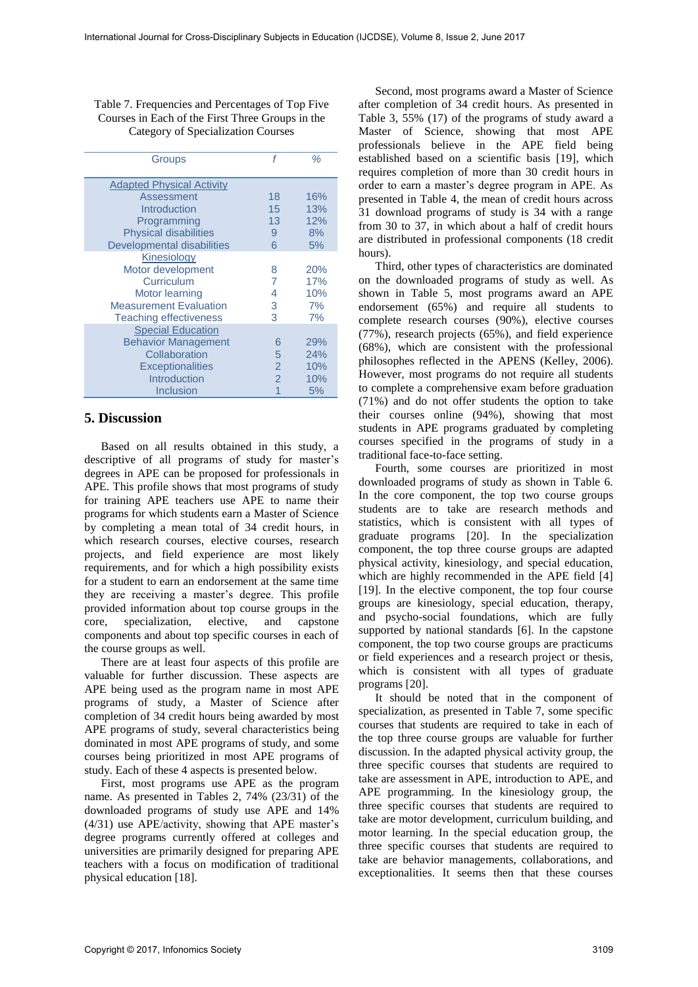Table 7. Frequencies and Percentages of Top Five Courses in Each of the First Three Groups in the Category of Specialization Courses

| Groups                            | f              | ℅   |
|-----------------------------------|----------------|-----|
| <b>Adapted Physical Activity</b>  |                |     |
| Assessment                        | 18             | 16% |
| Introduction                      | 15             | 13% |
| Programming                       | 13             | 12% |
| <b>Physical disabilities</b>      | 9              | 8%  |
| <b>Developmental disabilities</b> | 6              | 5%  |
| <b>Kinesiology</b>                |                |     |
| Motor development                 | 8              | 20% |
| Curriculum                        |                | 17% |
| Motor learning                    | 4              | 10% |
| <b>Measurement Evaluation</b>     | 3              | 7%  |
| <b>Teaching effectiveness</b>     | 3              | 7%  |
| <b>Special Education</b>          |                |     |
| <b>Behavior Management</b>        | 6              | 29% |
| Collaboration                     | 5              | 24% |
| <b>Exceptionalities</b>           | $\overline{2}$ | 10% |
| <b>Introduction</b>               | $\overline{2}$ | 10% |
| Inclusion                         |                | 5%  |

## **5. Discussion**

Based on all results obtained in this study, a descriptive of all programs of study for master's degrees in APE can be proposed for professionals in APE. This profile shows that most programs of study for training APE teachers use APE to name their programs for which students earn a Master of Science by completing a mean total of 34 credit hours, in which research courses, elective courses, research projects, and field experience are most likely requirements, and for which a high possibility exists for a student to earn an endorsement at the same time they are receiving a master's degree. This profile provided information about top course groups in the core, specialization, elective, and capstone components and about top specific courses in each of the course groups as well.

There are at least four aspects of this profile are valuable for further discussion. These aspects are APE being used as the program name in most APE programs of study, a Master of Science after completion of 34 credit hours being awarded by most APE programs of study, several characteristics being dominated in most APE programs of study, and some courses being prioritized in most APE programs of study. Each of these 4 aspects is presented below.

First, most programs use APE as the program name. As presented in Tables 2, 74% (23/31) of the downloaded programs of study use APE and 14% (4/31) use APE/activity, showing that APE master's degree programs currently offered at colleges and universities are primarily designed for preparing APE teachers with a focus on modification of traditional physical education [18].

Second, most programs award a Master of Science after completion of 34 credit hours. As presented in Table 3, 55% (17) of the programs of study award a Master of Science, showing that most APE professionals believe in the APE field being established based on a scientific basis [19], which requires completion of more than 30 credit hours in order to earn a master's degree program in APE. As presented in Table 4, the mean of credit hours across 31 download programs of study is 34 with a range from 30 to 37, in which about a half of credit hours are distributed in professional components (18 credit hours).

Third, other types of characteristics are dominated on the downloaded programs of study as well. As shown in Table 5, most programs award an APE endorsement (65%) and require all students to complete research courses (90%), elective courses (77%), research projects (65%), and field experience (68%), which are consistent with the professional philosophes reflected in the APENS (Kelley, 2006). However, most programs do not require all students to complete a comprehensive exam before graduation (71%) and do not offer students the option to take their courses online (94%), showing that most students in APE programs graduated by completing courses specified in the programs of study in a traditional face-to-face setting.

Fourth, some courses are prioritized in most downloaded programs of study as shown in Table 6. In the core component, the top two course groups students are to take are research methods and statistics, which is consistent with all types of graduate programs [20]. In the specialization component, the top three course groups are adapted physical activity, kinesiology, and special education, which are highly recommended in the APE field [4] [19]. In the elective component, the top four course groups are kinesiology, special education, therapy, and psycho-social foundations, which are fully supported by national standards [6]. In the capstone component, the top two course groups are practicums or field experiences and a research project or thesis, which is consistent with all types of graduate programs [20].

It should be noted that in the component of specialization, as presented in Table 7, some specific courses that students are required to take in each of the top three course groups are valuable for further discussion. In the adapted physical activity group, the three specific courses that students are required to take are assessment in APE, introduction to APE, and APE programming. In the kinesiology group, the three specific courses that students are required to take are motor development, curriculum building, and motor learning. In the special education group, the three specific courses that students are required to take are behavior managements, collaborations, and exceptionalities. It seems then that these courses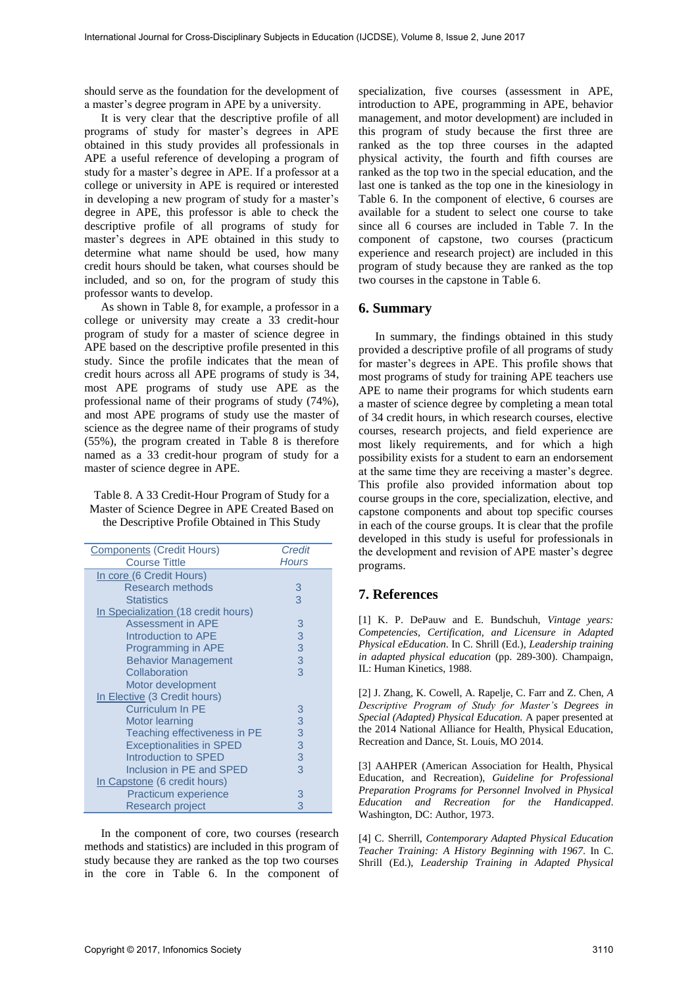should serve as the foundation for the development of a master's degree program in APE by a university.

It is very clear that the descriptive profile of all programs of study for master's degrees in APE obtained in this study provides all professionals in APE a useful reference of developing a program of study for a master's degree in APE. If a professor at a college or university in APE is required or interested in developing a new program of study for a master's degree in APE, this professor is able to check the descriptive profile of all programs of study for master's degrees in APE obtained in this study to determine what name should be used, how many credit hours should be taken, what courses should be included, and so on, for the program of study this professor wants to develop.

As shown in Table 8, for example, a professor in a college or university may create a 33 credit-hour program of study for a master of science degree in APE based on the descriptive profile presented in this study. Since the profile indicates that the mean of credit hours across all APE programs of study is 34, most APE programs of study use APE as the professional name of their programs of study (74%), and most APE programs of study use the master of science as the degree name of their programs of study (55%), the program created in Table 8 is therefore named as a 33 credit-hour program of study for a master of science degree in APE.

| Table 8. A 33 Credit-Hour Program of Study for a |
|--------------------------------------------------|
| Master of Science Degree in APE Created Based on |
| the Descriptive Profile Obtained in This Study   |

| <b>Components (Credit Hours)</b>    | <b>Credit</b> |
|-------------------------------------|---------------|
| <b>Course Tittle</b>                | <b>Hours</b>  |
| In core (6 Credit Hours)            |               |
| Research methods                    | 3             |
| <b>Statistics</b>                   | 3             |
| In Specialization (18 credit hours) |               |
| Assessment in APE                   | 3             |
| Introduction to APE                 | 3             |
| Programming in APE                  | 3             |
| <b>Behavior Management</b>          | 3             |
| Collaboration                       | 3             |
| Motor development                   |               |
| In Elective (3 Credit hours)        |               |
| <b>Curriculum In PE</b>             | 3             |
| Motor learning                      | 3             |
| Teaching effectiveness in PE        | 3             |
| <b>Exceptionalities in SPED</b>     | 3             |
| Introduction to SPED                | 3             |
| Inclusion in PE and SPED            | 3             |
| In Capstone (6 credit hours)        |               |
| Practicum experience                | 3             |
| <b>Research project</b>             | 3             |

In the component of core, two courses (research methods and statistics) are included in this program of study because they are ranked as the top two courses in the core in Table 6. In the component of specialization, five courses (assessment in APE, introduction to APE, programming in APE, behavior management, and motor development) are included in this program of study because the first three are ranked as the top three courses in the adapted physical activity, the fourth and fifth courses are ranked as the top two in the special education, and the last one is tanked as the top one in the kinesiology in Table 6. In the component of elective, 6 courses are available for a student to select one course to take since all 6 courses are included in Table 7. In the component of capstone, two courses (practicum experience and research project) are included in this program of study because they are ranked as the top two courses in the capstone in Table 6.

#### **6. Summary**

In summary, the findings obtained in this study provided a descriptive profile of all programs of study for master's degrees in APE. This profile shows that most programs of study for training APE teachers use APE to name their programs for which students earn a master of science degree by completing a mean total of 34 credit hours, in which research courses, elective courses, research projects, and field experience are most likely requirements, and for which a high possibility exists for a student to earn an endorsement at the same time they are receiving a master's degree. This profile also provided information about top course groups in the core, specialization, elective, and capstone components and about top specific courses in each of the course groups. It is clear that the profile developed in this study is useful for professionals in the development and revision of APE master's degree programs.

### **7. References**

[1] K. P. DePauw and E. Bundschuh, *Vintage years: Competencies, Certification, and Licensure in Adapted Physical eEducation*. In C. Shrill (Ed.), *Leadership training in adapted physical education* (pp. 289-300). Champaign, IL: Human Kinetics, 1988.

[2] J. Zhang, K. Cowell, A. Rapelje, C. Farr and Z. Chen, *A Descriptive Program of Study for Master's Degrees in Special (Adapted) Physical Education.* A paper presented at the 2014 National Alliance for Health, Physical Education, Recreation and Dance, St. Louis, MO 2014.

[3] AAHPER (American Association for Health, Physical Education, and Recreation), *Guideline for Professional Preparation Programs for Personnel Involved in Physical Education and Recreation for the Handicapped*. Washington, DC: Author, 1973.

[4] C. Sherrill, *Contemporary Adapted Physical Education Teacher Training: A History Beginning with 1967*. In C. Shrill (Ed.), *Leadership Training in Adapted Physical*